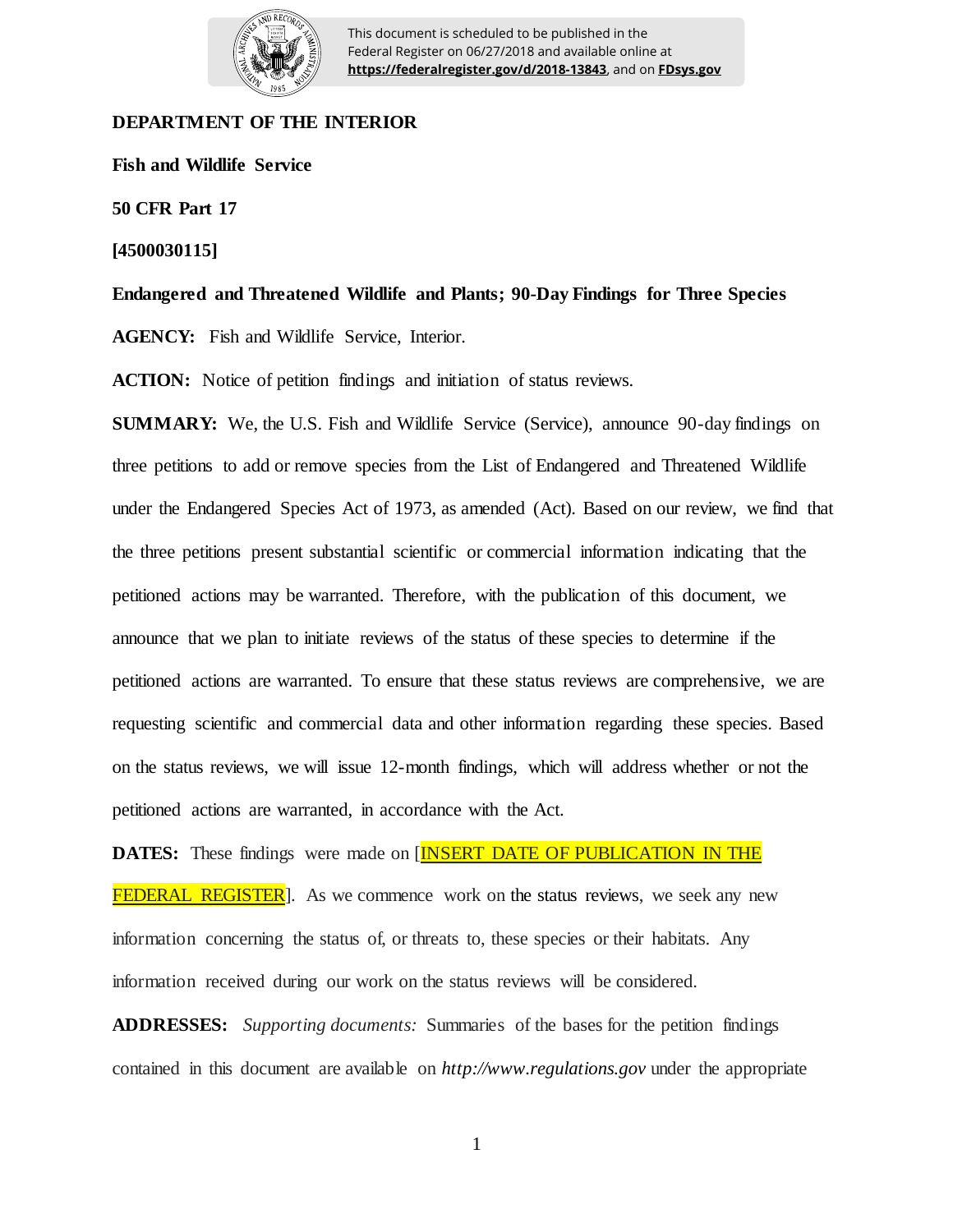

This document is scheduled to be published in the Federal Register on 06/27/2018 and available online at **https://federalregister.gov/d/2018-13843**, and on **FDsys.gov**

## **DEPARTMENT OF THE INTERIOR**

**Fish and Wildlife Service**

**50 CFR Part 17**

**[4500030115]**

**Endangered and Threatened Wildlife and Plants; 90-Day Findings for Three Species**

**AGENCY:** Fish and Wildlife Service, Interior.

**ACTION:** Notice of petition findings and initiation of status reviews.

**SUMMARY:** We, the U.S. Fish and Wildlife Service (Service), announce 90-day findings on three petitions to add or remove species from the List of Endangered and Threatened Wildlife under the Endangered Species Act of 1973, as amended (Act). Based on our review, we find that the three petitions present substantial scientific or commercial information indicating that the petitioned actions may be warranted. Therefore, with the publication of this document, we announce that we plan to initiate reviews of the status of these species to determine if the petitioned actions are warranted. To ensure that these status reviews are comprehensive, we are requesting scientific and commercial data and other information regarding these species. Based on the status reviews, we will issue 12-month findings, which will address whether or not the petitioned actions are warranted, in accordance with the Act.

**DATES:** These findings were made on [**INSERT DATE OF PUBLICATION IN THE FEDERAL REGISTER**. As we commence work on the status reviews, we seek any new information concerning the status of, or threats to, these species or their habitats. Any information received during our work on the status reviews will be considered.

**ADDRESSES:** *Supporting documents:* Summaries of the bases for the petition findings contained in this document are available on *http://www.regulations.gov* under the appropriate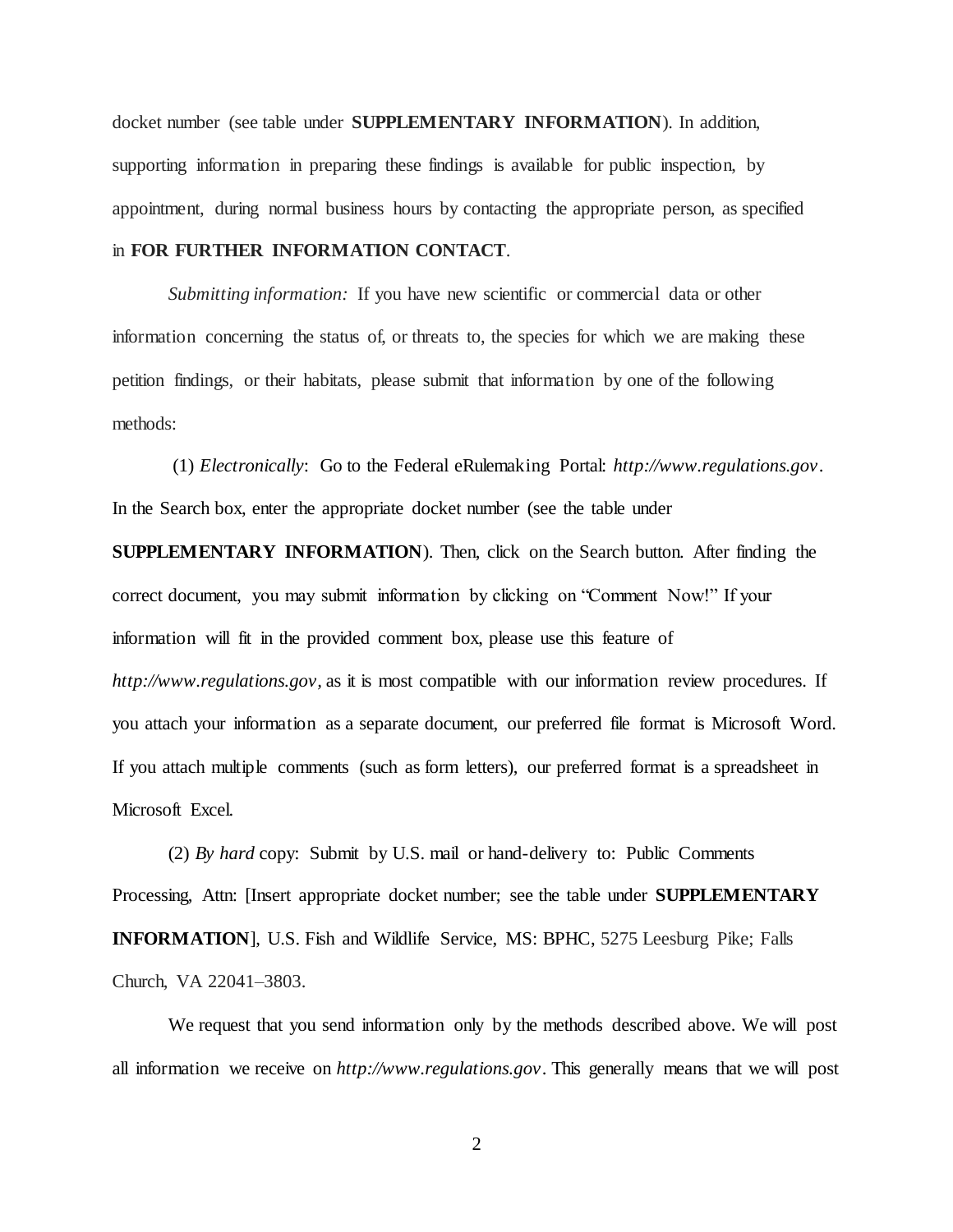docket number (see table under **SUPPLEMENTARY INFORMATION**). In addition, supporting information in preparing these findings is available for public inspection, by appointment, during normal business hours by contacting the appropriate person, as specified in **FOR FURTHER INFORMATION CONTACT**.

*Submitting information:* If you have new scientific or commercial data or other information concerning the status of, or threats to, the species for which we are making these petition findings, or their habitats, please submit that information by one of the following methods:

(1) *Electronically*: Go to the Federal eRulemaking Portal: *http://www.regulations.gov*. In the Search box, enter the appropriate docket number (see the table under

**SUPPLEMENTARY INFORMATION**). Then, click on the Search button. After finding the correct document, you may submit information by clicking on "Comment Now!" If your information will fit in the provided comment box, please use this feature of *http://www.regulations.gov,* as it is most compatible with our information review procedures. If you attach your information as a separate document, our preferred file format is Microsoft Word. If you attach multiple comments (such as form letters), our preferred format is a spreadsheet in Microsoft Excel.

(2) *By hard* copy: Submit by U.S. mail or hand-delivery to: Public Comments Processing, Attn: [Insert appropriate docket number; see the table under **SUPPLEMENTARY INFORMATION**], U.S. Fish and Wildlife Service, MS: BPHC, 5275 Leesburg Pike; Falls Church, VA 22041–3803.

We request that you send information only by the methods described above. We will post all information we receive on *http://www.regulations.gov*. This generally means that we will post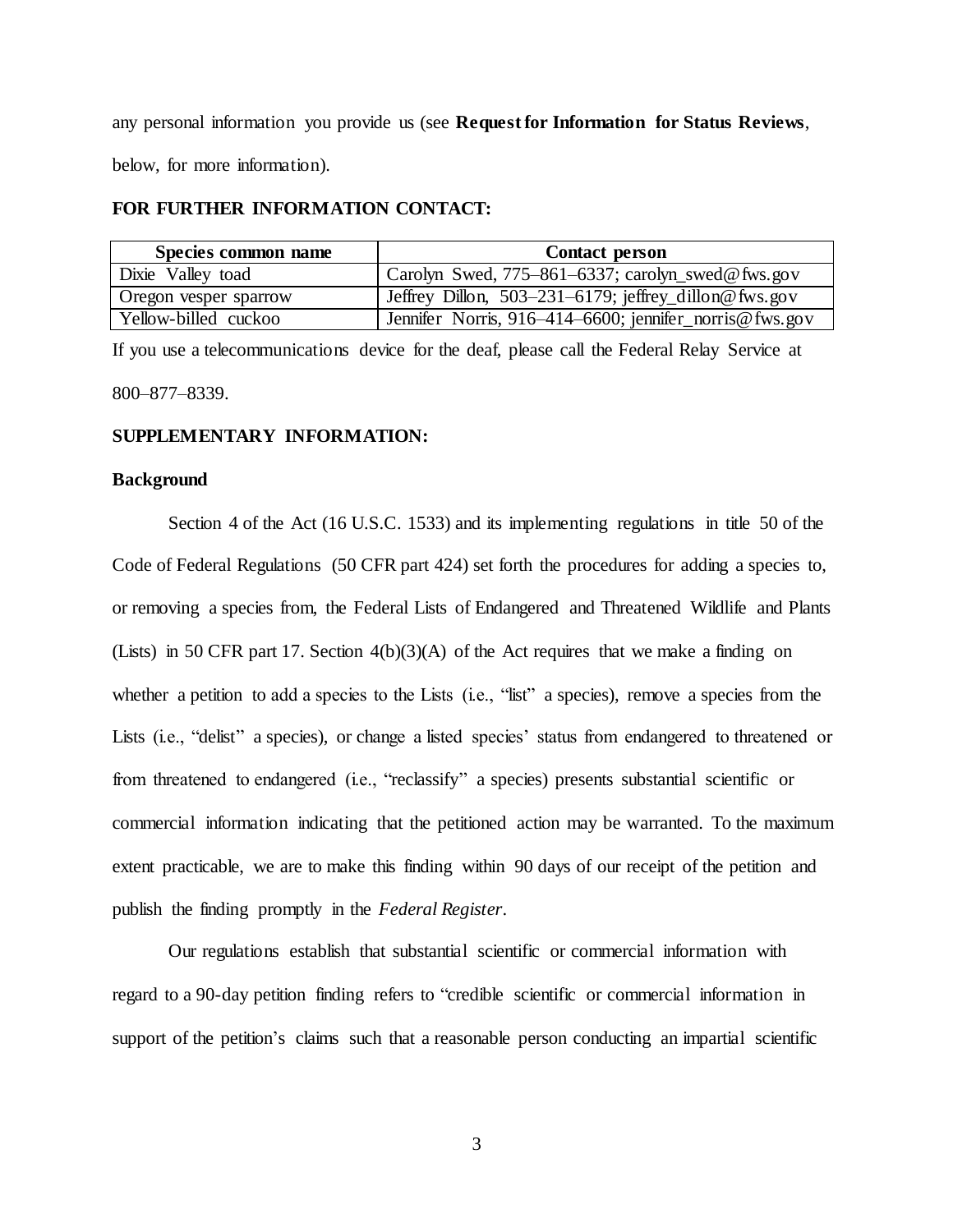any personal information you provide us (see **Request for Information for Status Reviews**, below, for more information).

## **FOR FURTHER INFORMATION CONTACT:**

| Species common name   | <b>Contact person</b>                                  |
|-----------------------|--------------------------------------------------------|
| Dixie Valley toad     | Carolyn Swed, 775–861–6337; carolyn swed@ fws.gov      |
| Oregon vesper sparrow | Jeffrey Dillon, 503-231-6179; jeffrey_dillon@ fws.gov  |
| Yellow-billed cuckoo  | Jennifer Norris, 916-414-6600; jennifer_norris@fws.gov |

If you use a telecommunications device for the deaf, please call the Federal Relay Service at 800–877–8339.

## **SUPPLEMENTARY INFORMATION:**

## **Background**

Section 4 of the Act (16 U.S.C. 1533) and its implementing regulations in title 50 of the Code of Federal Regulations (50 CFR part 424) set forth the procedures for adding a species to, or removing a species from, the Federal Lists of Endangered and Threatened Wildlife and Plants (Lists) in 50 CFR part 17. Section  $4(b)(3)(A)$  of the Act requires that we make a finding on whether a petition to add a species to the Lists (i.e., "list" a species), remove a species from the Lists (i.e., "delist" a species), or change a listed species' status from endangered to threatened or from threatened to endangered (i.e., "reclassify" a species) presents substantial scientific or commercial information indicating that the petitioned action may be warranted. To the maximum extent practicable, we are to make this finding within 90 days of our receipt of the petition and publish the finding promptly in the *Federal Register*.

Our regulations establish that substantial scientific or commercial information with regard to a 90-day petition finding refers to "credible scientific or commercial information in support of the petition's claims such that a reasonable person conducting an impartial scientific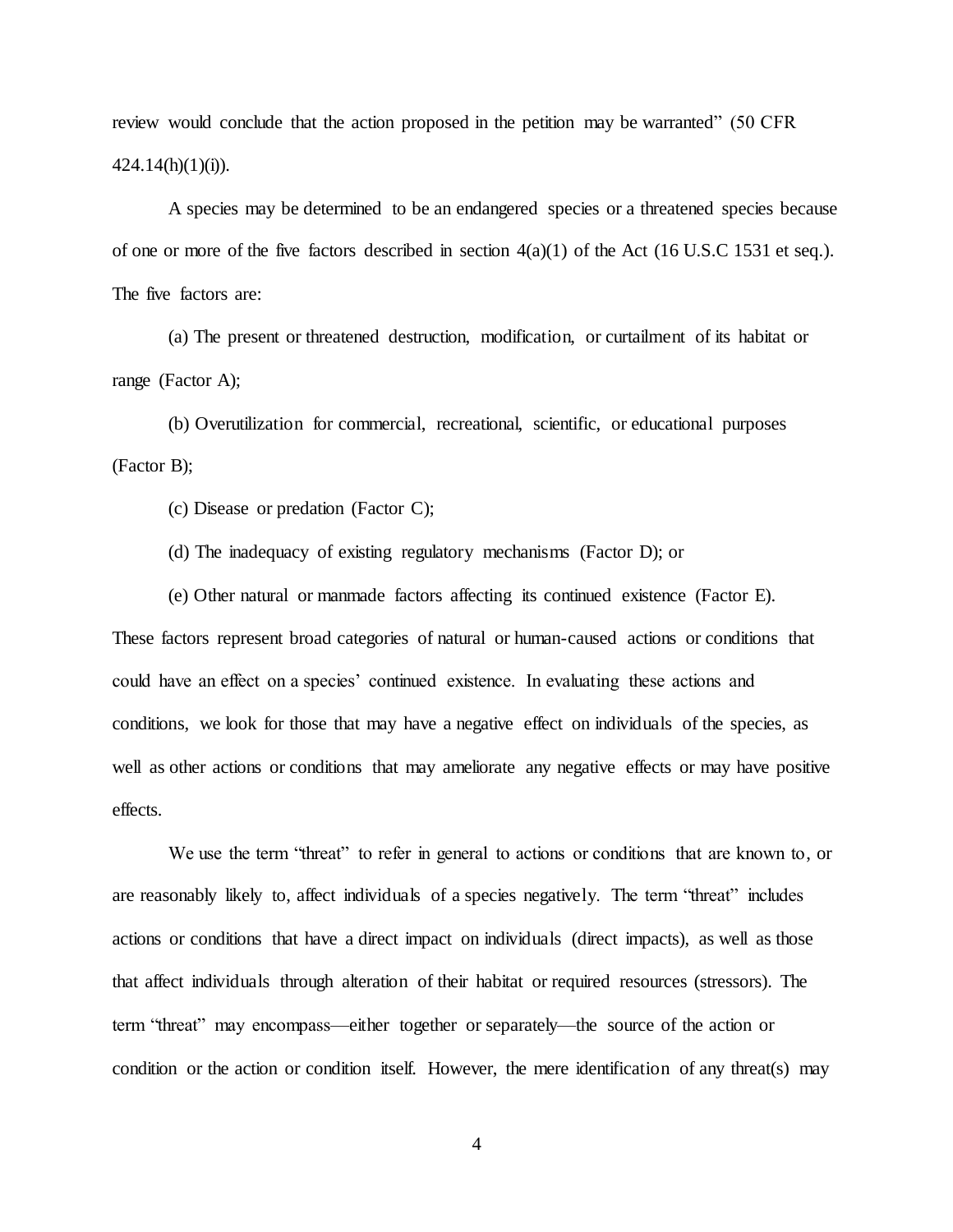review would conclude that the action proposed in the petition may be warranted" (50 CFR  $424.14(h)(1)(i)$ .

A species may be determined to be an endangered species or a threatened species because of one or more of the five factors described in section 4(a)(1) of the Act (16 U.S.C 1531 et seq.). The five factors are:

(a) The present or threatened destruction, modification, or curtailment of its habitat or range (Factor A);

(b) Overutilization for commercial, recreational, scientific, or educational purposes (Factor B);

(c) Disease or predation (Factor C);

(d) The inadequacy of existing regulatory mechanisms (Factor D); or

(e) Other natural or manmade factors affecting its continued existence (Factor E).

These factors represent broad categories of natural or human-caused actions or conditions that could have an effect on a species' continued existence. In evaluating these actions and conditions, we look for those that may have a negative effect on individuals of the species, as well as other actions or conditions that may ameliorate any negative effects or may have positive effects.

We use the term "threat" to refer in general to actions or conditions that are known to, or are reasonably likely to, affect individuals of a species negatively. The term "threat" includes actions or conditions that have a direct impact on individuals (direct impacts), as well as those that affect individuals through alteration of their habitat or required resources (stressors). The term "threat" may encompass—either together or separately—the source of the action or condition or the action or condition itself. However, the mere identification of any threat(s) may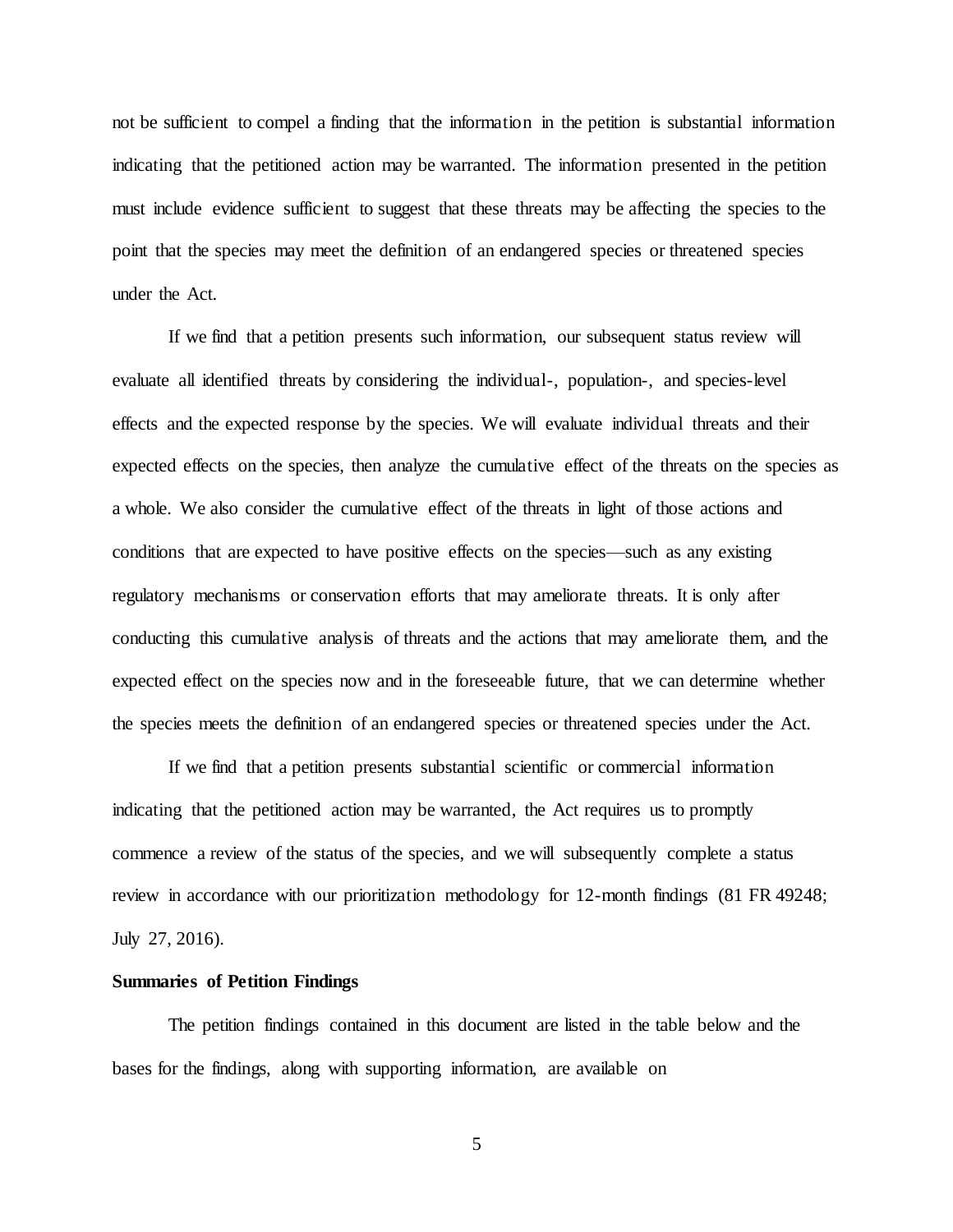not be sufficient to compel a finding that the information in the petition is substantial information indicating that the petitioned action may be warranted. The information presented in the petition must include evidence sufficient to suggest that these threats may be affecting the species to the point that the species may meet the definition of an endangered species or threatened species under the Act.

If we find that a petition presents such information, our subsequent status review will evaluate all identified threats by considering the individual-, population-, and species-level effects and the expected response by the species. We will evaluate individual threats and their expected effects on the species, then analyze the cumulative effect of the threats on the species as a whole. We also consider the cumulative effect of the threats in light of those actions and conditions that are expected to have positive effects on the species—such as any existing regulatory mechanisms or conservation efforts that may ameliorate threats. It is only after conducting this cumulative analysis of threats and the actions that may ameliorate them, and the expected effect on the species now and in the foreseeable future, that we can determine whether the species meets the definition of an endangered species or threatened species under the Act.

If we find that a petition presents substantial scientific or commercial information indicating that the petitioned action may be warranted, the Act requires us to promptly commence a review of the status of the species, and we will subsequently complete a status review in accordance with our prioritization methodology for 12-month findings (81 FR 49248; July 27, 2016).

#### **Summaries of Petition Findings**

The petition findings contained in this document are listed in the table below and the bases for the findings, along with supporting information, are available on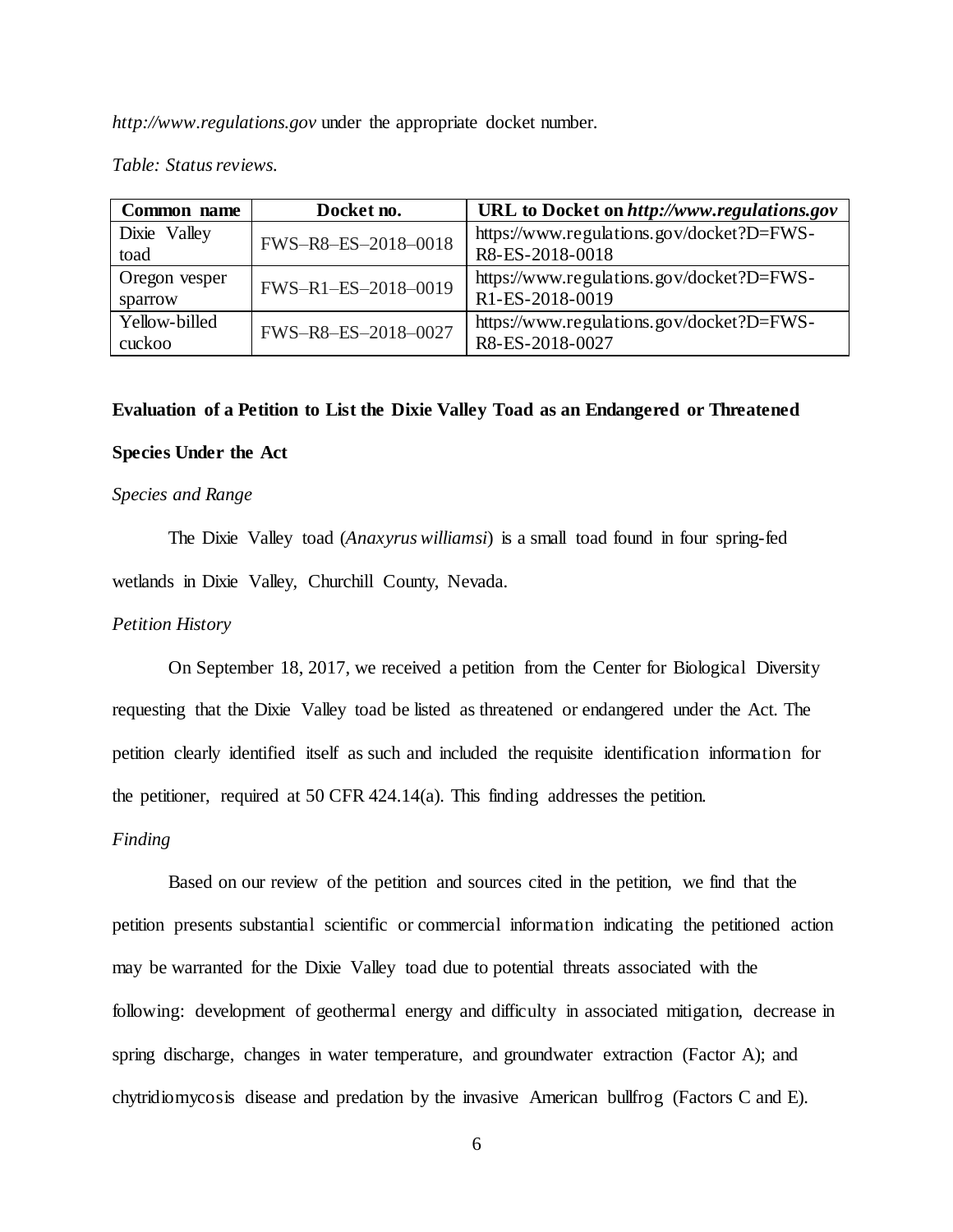*http://www.regulations.gov* under the appropriate docket number.

#### *Table: Status reviews.*

| Common name   | Docket no.          | URL to Docket on http://www.regulations.gov |
|---------------|---------------------|---------------------------------------------|
| Dixie Valley  | FWS-R8-ES-2018-0018 | https://www.regulations.gov/docket?D=FWS-   |
| toad          |                     | R8-ES-2018-0018                             |
| Oregon vesper | FWS-R1-ES-2018-0019 | https://www.regulations.gov/docket?D=FWS-   |
| sparrow       |                     | R1-ES-2018-0019                             |
| Yellow-billed | FWS-R8-ES-2018-0027 | https://www.regulations.gov/docket?D=FWS-   |
| cuckoo        |                     | R8-ES-2018-0027                             |

#### **Evaluation of a Petition to List the Dixie Valley Toad as an Endangered or Threatened**

### **Species Under the Act**

#### *Species and Range*

The Dixie Valley toad (*Anaxyrus williamsi*) is a small toad found in four spring-fed wetlands in Dixie Valley, Churchill County, Nevada.

## *Petition History*

On September 18, 2017, we received a petition from the Center for Biological Diversity requesting that the Dixie Valley toad be listed as threatened or endangered under the Act. The petition clearly identified itself as such and included the requisite identification information for the petitioner, required at 50 CFR 424.14(a). This finding addresses the petition.

#### *Finding*

Based on our review of the petition and sources cited in the petition, we find that the petition presents substantial scientific or commercial information indicating the petitioned action may be warranted for the Dixie Valley toad due to potential threats associated with the following: development of geothermal energy and difficulty in associated mitigation, decrease in spring discharge, changes in water temperature, and groundwater extraction (Factor A); and chytridiomycosis disease and predation by the invasive American bullfrog (Factors C and E).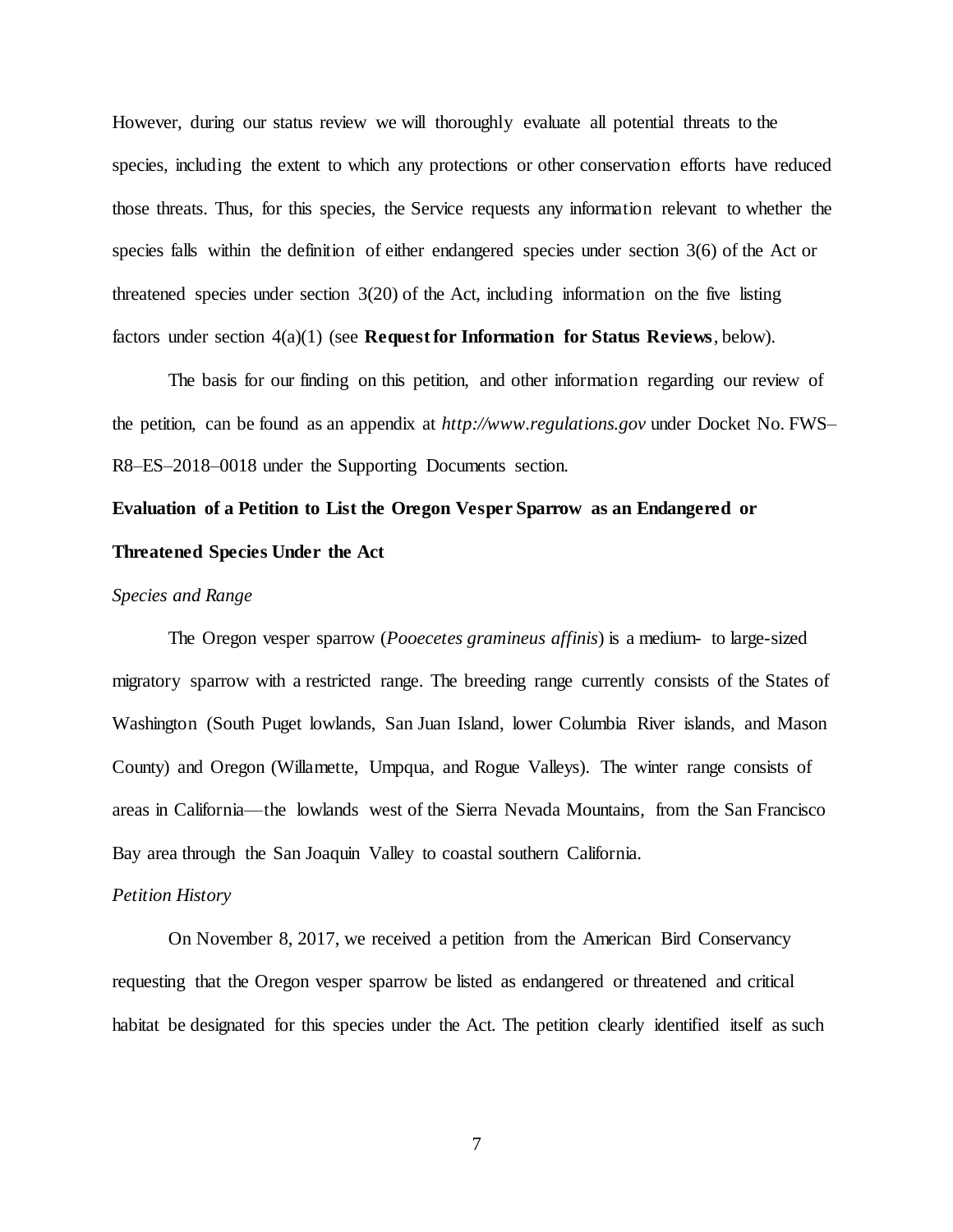However, during our status review we will thoroughly evaluate all potential threats to the species, including the extent to which any protections or other conservation efforts have reduced those threats. Thus, for this species, the Service requests any information relevant to whether the species falls within the definition of either endangered species under section 3(6) of the Act or threatened species under section 3(20) of the Act, including information on the five listing factors under section 4(a)(1) (see **Request for Information for Status Reviews**, below).

The basis for our finding on this petition, and other information regarding our review of the petition, can be found as an appendix at *http://www.regulations.gov* under Docket No. FWS– R8–ES–2018–0018 under the Supporting Documents section.

# **Evaluation of a Petition to List the Oregon Vesper Sparrow as an Endangered or Threatened Species Under the Act**

## *Species and Range*

The Oregon vesper sparrow (*Pooecetes gramineus affinis*) is a medium- to large-sized migratory sparrow with a restricted range. The breeding range currently consists of the States of Washington (South Puget lowlands, San Juan Island, lower Columbia River islands, and Mason County) and Oregon (Willamette, Umpqua, and Rogue Valleys). The winter range consists of areas in California—the lowlands west of the Sierra Nevada Mountains, from the San Francisco Bay area through the San Joaquin Valley to coastal southern California.

#### *Petition History*

On November 8, 2017, we received a petition from the American Bird Conservancy requesting that the Oregon vesper sparrow be listed as endangered or threatened and critical habitat be designated for this species under the Act. The petition clearly identified itself as such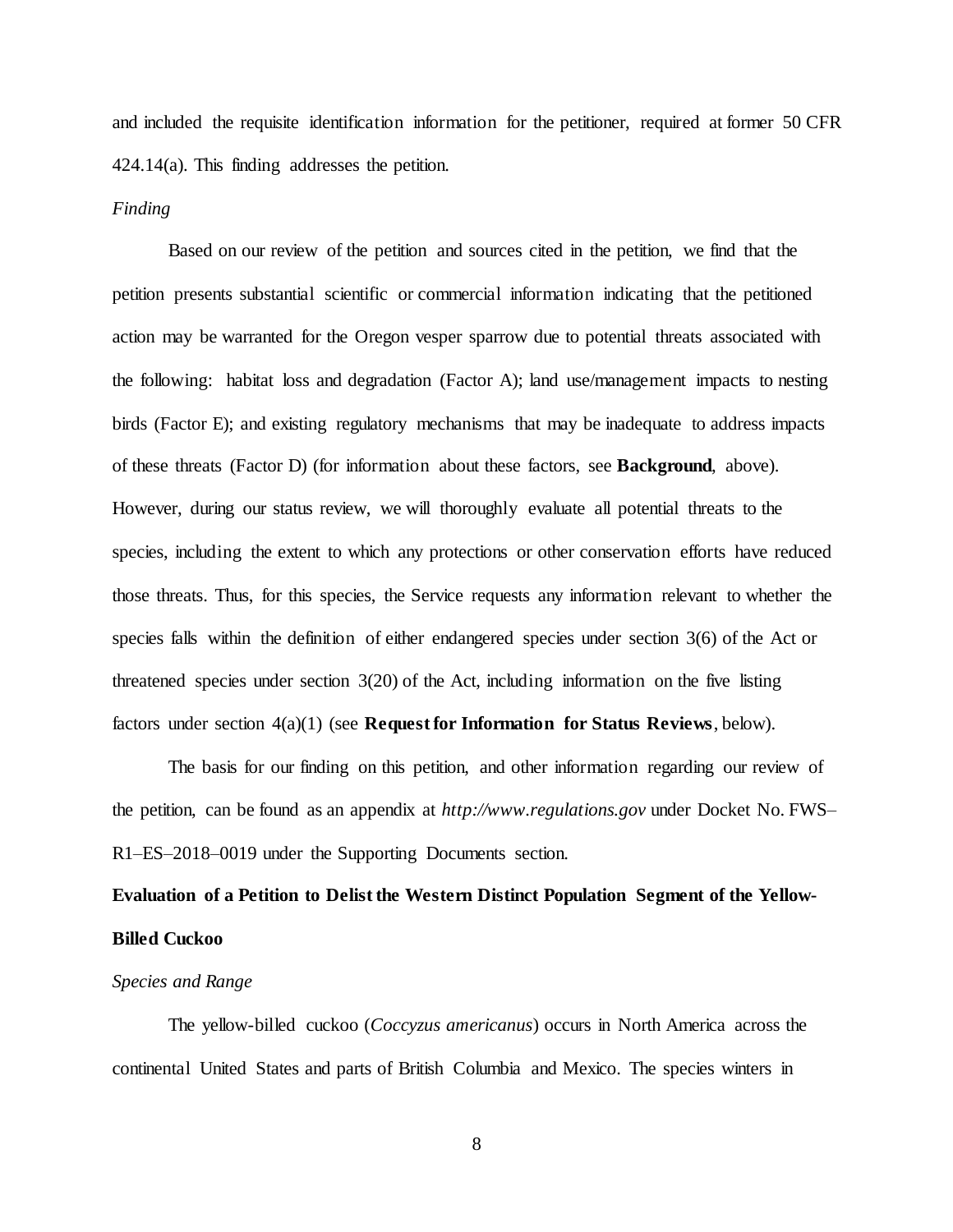and included the requisite identification information for the petitioner, required at former 50 CFR 424.14(a). This finding addresses the petition.

#### *Finding*

Based on our review of the petition and sources cited in the petition, we find that the petition presents substantial scientific or commercial information indicating that the petitioned action may be warranted for the Oregon vesper sparrow due to potential threats associated with the following: habitat loss and degradation (Factor A); land use/management impacts to nesting birds (Factor E); and existing regulatory mechanisms that may be inadequate to address impacts of these threats (Factor D) (for information about these factors, see **Background**, above). However, during our status review, we will thoroughly evaluate all potential threats to the species, including the extent to which any protections or other conservation efforts have reduced those threats. Thus, for this species, the Service requests any information relevant to whether the species falls within the definition of either endangered species under section 3(6) of the Act or threatened species under section 3(20) of the Act, including information on the five listing factors under section 4(a)(1) (see **Request for Information for Status Reviews**, below).

The basis for our finding on this petition, and other information regarding our review of the petition, can be found as an appendix at *http://www.regulations.gov* under Docket No. FWS– R1–ES–2018–0019 under the Supporting Documents section.

## **Evaluation of a Petition to Delist the Western Distinct Population Segment of the Yellow-Billed Cuckoo**

#### *Species and Range*

The yellow-billed cuckoo (*Coccyzus americanus*) occurs in North America across the continental United States and parts of British Columbia and Mexico. The species winters in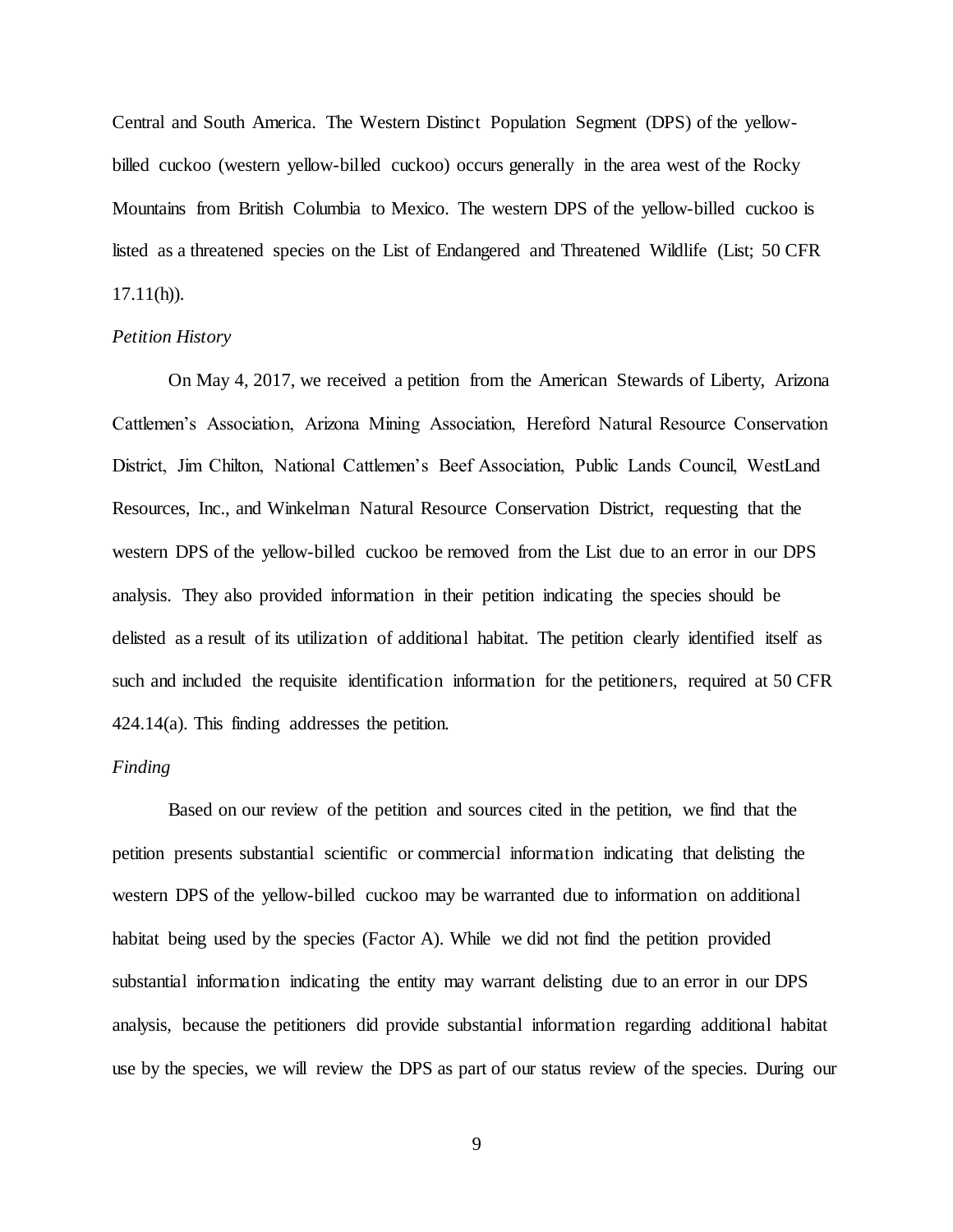Central and South America. The Western Distinct Population Segment (DPS) of the yellowbilled cuckoo (western yellow-billed cuckoo) occurs generally in the area west of the Rocky Mountains from British Columbia to Mexico. The western DPS of the yellow-billed cuckoo is listed as a threatened species on the List of Endangered and Threatened Wildlife (List; 50 CFR  $17.11(h)$ ).

## *Petition History*

On May 4, 2017, we received a petition from the American Stewards of Liberty, Arizona Cattlemen's Association, Arizona Mining Association, Hereford Natural Resource Conservation District, Jim Chilton, National Cattlemen's Beef Association, Public Lands Council, WestLand Resources, Inc., and Winkelman Natural Resource Conservation District, requesting that the western DPS of the yellow-billed cuckoo be removed from the List due to an error in our DPS analysis. They also provided information in their petition indicating the species should be delisted as a result of its utilization of additional habitat. The petition clearly identified itself as such and included the requisite identification information for the petitioners, required at 50 CFR 424.14(a). This finding addresses the petition.

#### *Finding*

Based on our review of the petition and sources cited in the petition, we find that the petition presents substantial scientific or commercial information indicating that delisting the western DPS of the yellow-billed cuckoo may be warranted due to information on additional habitat being used by the species (Factor A). While we did not find the petition provided substantial information indicating the entity may warrant delisting due to an error in our DPS analysis, because the petitioners did provide substantial information regarding additional habitat use by the species, we will review the DPS as part of our status review of the species. During our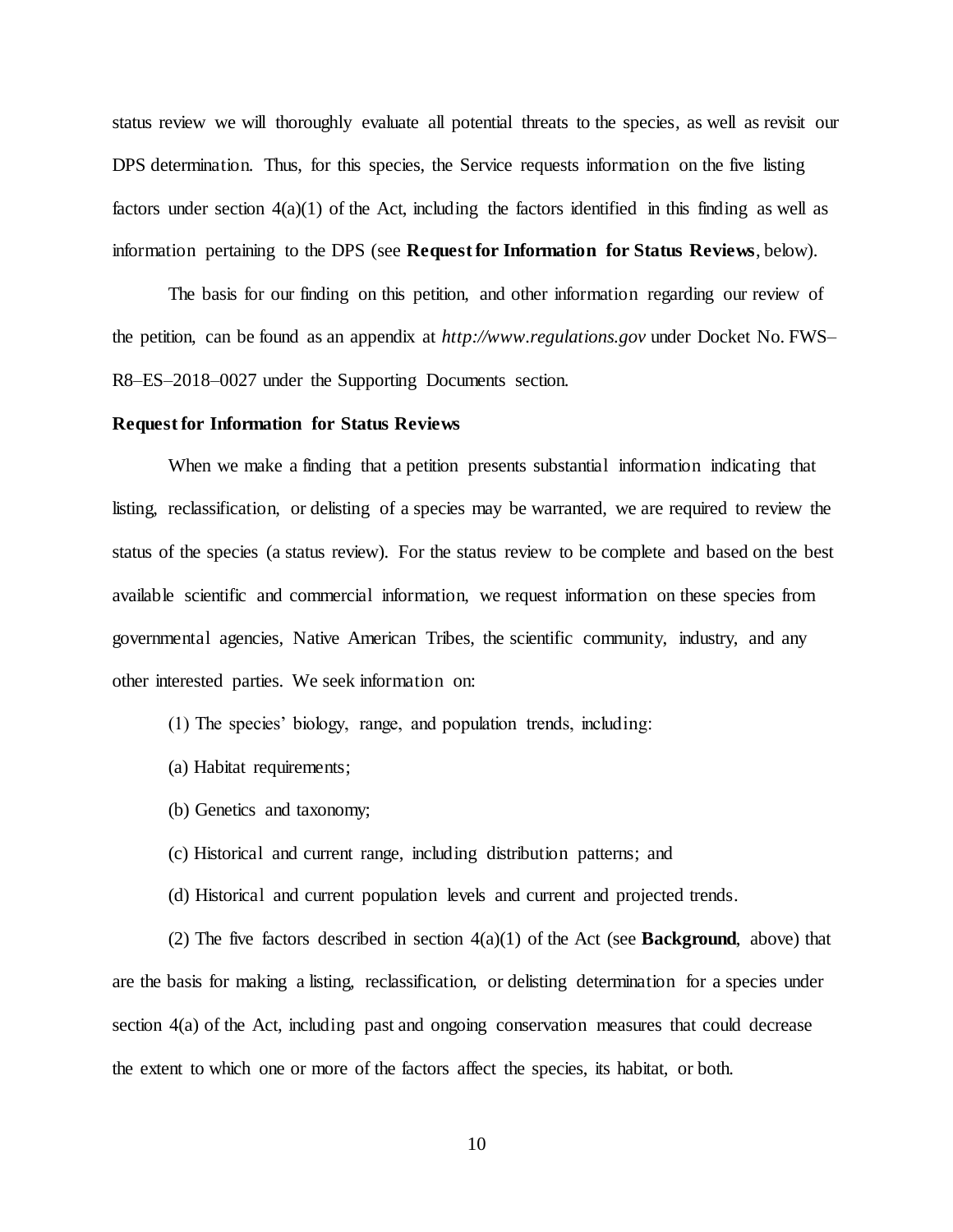status review we will thoroughly evaluate all potential threats to the species, as well as revisit our DPS determination. Thus, for this species, the Service requests information on the five listing factors under section  $4(a)(1)$  of the Act, including the factors identified in this finding as well as information pertaining to the DPS (see **Request for Information for Status Reviews**, below).

The basis for our finding on this petition, and other information regarding our review of the petition, can be found as an appendix at *http://www.regulations.gov* under Docket No. FWS– R8–ES–2018–0027 under the Supporting Documents section.

#### **Request for Information for Status Reviews**

When we make a finding that a petition presents substantial information indicating that listing, reclassification, or delisting of a species may be warranted, we are required to review the status of the species (a status review). For the status review to be complete and based on the best available scientific and commercial information, we request information on these species from governmental agencies, Native American Tribes, the scientific community, industry, and any other interested parties. We seek information on:

- (1) The species' biology, range, and population trends, including:
- (a) Habitat requirements;
- (b) Genetics and taxonomy;
- (c) Historical and current range, including distribution patterns; and
- (d) Historical and current population levels and current and projected trends.

(2) The five factors described in section  $4(a)(1)$  of the Act (see **Background**, above) that are the basis for making a listing, reclassification, or delisting determination for a species under section 4(a) of the Act, including past and ongoing conservation measures that could decrease the extent to which one or more of the factors affect the species, its habitat, or both.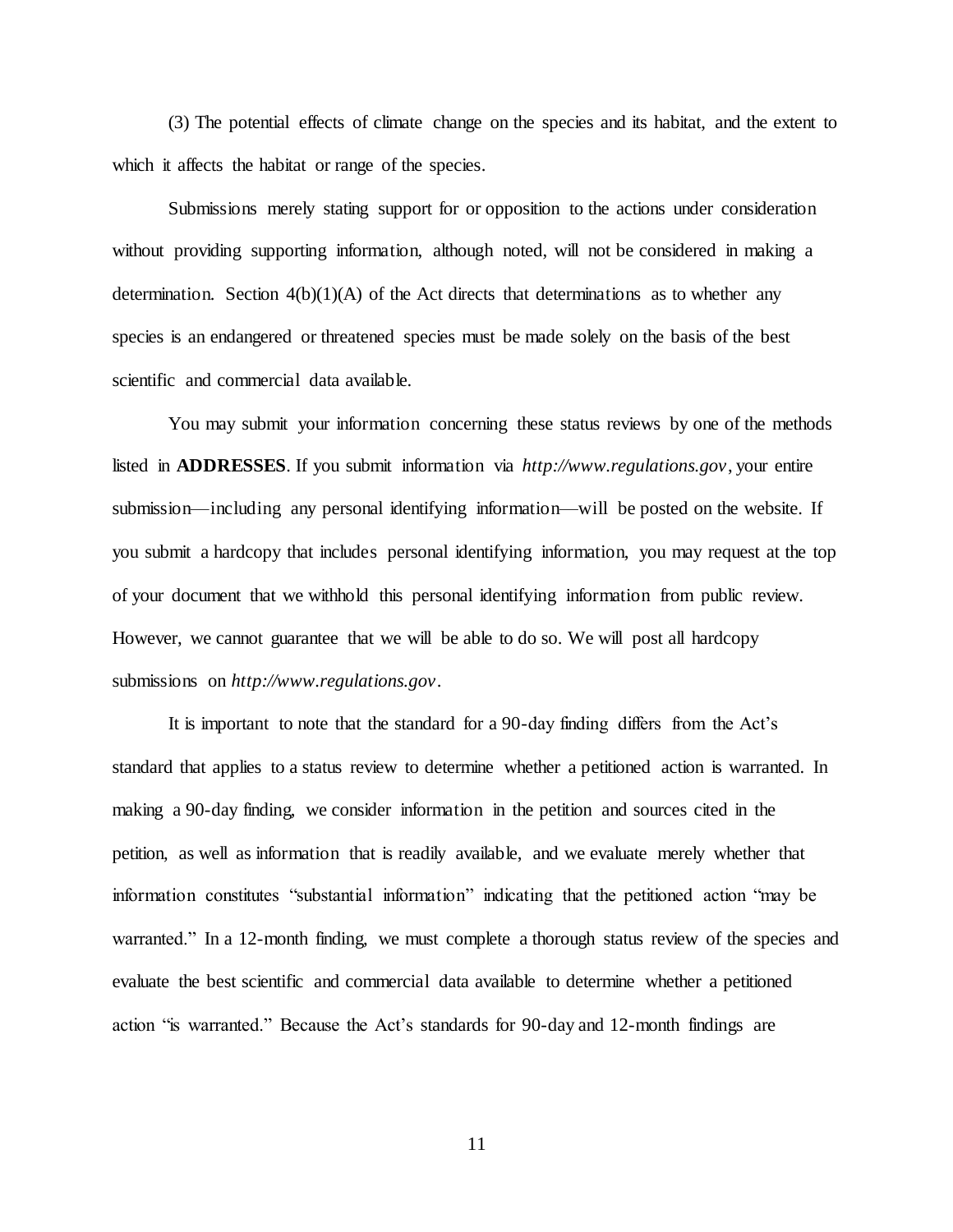(3) The potential effects of climate change on the species and its habitat, and the extent to which it affects the habitat or range of the species.

Submissions merely stating support for or opposition to the actions under consideration without providing supporting information, although noted, will not be considered in making a determination. Section  $4(b)(1)(A)$  of the Act directs that determinations as to whether any species is an endangered or threatened species must be made solely on the basis of the best scientific and commercial data available.

You may submit your information concerning these status reviews by one of the methods listed in **ADDRESSES**. If you submit information via *http://www.regulations.gov*, your entire submission—including any personal identifying information—will be posted on the website. If you submit a hardcopy that includes personal identifying information, you may request at the top of your document that we withhold this personal identifying information from public review. However, we cannot guarantee that we will be able to do so. We will post all hardcopy submissions on *http://www.regulations.gov*.

It is important to note that the standard for a 90-day finding differs from the Act's standard that applies to a status review to determine whether a petitioned action is warranted. In making a 90-day finding, we consider information in the petition and sources cited in the petition, as well as information that is readily available, and we evaluate merely whether that information constitutes "substantial information" indicating that the petitioned action "may be warranted." In a 12-month finding, we must complete a thorough status review of the species and evaluate the best scientific and commercial data available to determine whether a petitioned action "is warranted." Because the Act's standards for 90-day and 12-month findings are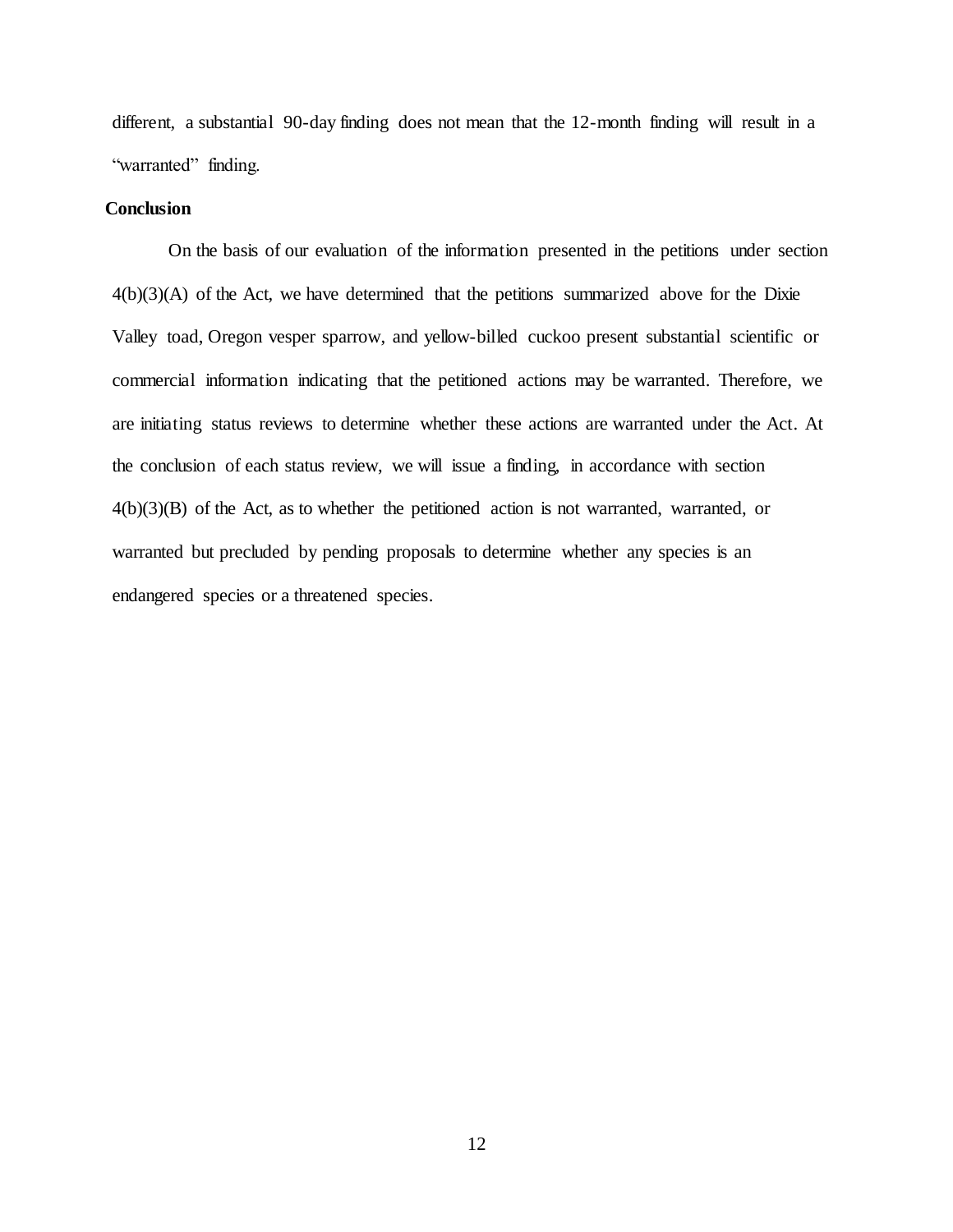different, a substantial 90-day finding does not mean that the 12-month finding will result in a "warranted" finding.

## **Conclusion**

On the basis of our evaluation of the information presented in the petitions under section  $4(b)(3)(A)$  of the Act, we have determined that the petitions summarized above for the Dixie Valley toad, Oregon vesper sparrow, and yellow-billed cuckoo present substantial scientific or commercial information indicating that the petitioned actions may be warranted. Therefore, we are initiating status reviews to determine whether these actions are warranted under the Act. At the conclusion of each status review, we will issue a finding, in accordance with section 4(b)(3)(B) of the Act, as to whether the petitioned action is not warranted, warranted, or warranted but precluded by pending proposals to determine whether any species is an endangered species or a threatened species.